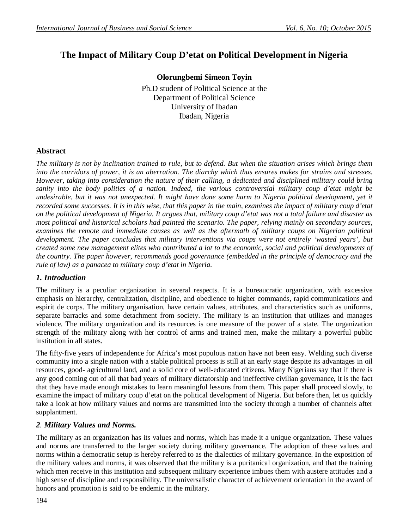# **The Impact of Military Coup D'etat on Political Development in Nigeria**

**Olorungbemi Simeon Toyin**  Ph.D student of Political Science at the Department of Political Science University of Ibadan Ibadan, Nigeria

### **Abstract**

*The military is not by inclination trained to rule, but to defend. But when the situation arises which brings them into the corridors of power, it is an aberration. The diarchy which thus ensures makes for strains and stresses. However, taking into consideration the nature of their calling, a dedicated and disciplined military could bring sanity into the body politics of a nation. Indeed, the various controversial military coup d'etat might be undesirable, but it was not unexpected. It might have done some harm to Nigeria political development, yet it recorded some successes. It is in this wise, that this paper in the main, examines the impact of military coup d'etat on the political development of Nigeria. It argues that, military coup d'etat was not a total failure and disaster as most political and historical scholars had painted the scenario. The paper, relying mainly on secondary sources, examines the remote and immediate causes as well as the aftermath of military coups on Nigerian political development. The paper concludes that military interventions via coups were not entirely 'wasted years', but created some new management elites who contributed a lot to the economic, social and political developments of the country. The paper however, recommends good governance (embedded in the principle of democracy and the rule of law) as a panacea to military coup d'etat in Nigeria.*

#### *1. Introduction*

The military is a peculiar organization in several respects. It is a bureaucratic organization, with excessive emphasis on hierarchy, centralization, discipline, and obedience to higher commands, rapid communications and espirit de corps. The military organisation, have certain values, attributes, and characteristics such as uniforms, separate barracks and some detachment from society. The military is an institution that utilizes and manages violence. The military organization and its resources is one measure of the power of a state. The organization strength of the military along with her control of arms and trained men, make the military a powerful public institution in all states.

The fifty-five years of independence for Africa's most populous nation have not been easy. Welding such diverse community into a single nation with a stable political process is still at an early stage despite its advantages in oil resources, good- agricultural land, and a solid core of well-educated citizens. Many Nigerians say that if there is any good coming out of all that bad years of military dictatorship and ineffective civilian governance, it is the fact that they have made enough mistakes to learn meaningful lessons from them. This paper shall proceed slowly, to examine the impact of military coup d'etat on the political development of Nigeria. But before then, let us quickly take a look at how military values and norms are transmitted into the society through a number of channels after supplantment.

#### *2. Military Values and Norms.*

The military as an organization has its values and norms, which has made it a unique organization. These values and norms are transferred to the larger society during military governance. The adoption of these values and norms within a democratic setup is hereby referred to as the dialectics of military governance. In the exposition of the military values and norms, it was observed that the military is a puritanical organization, and that the training which men receive in this institution and subsequent military experience imbues them with austere attitudes and a high sense of discipline and responsibility. The universalistic character of achievement orientation in the award of honors and promotion is said to be endemic in the military.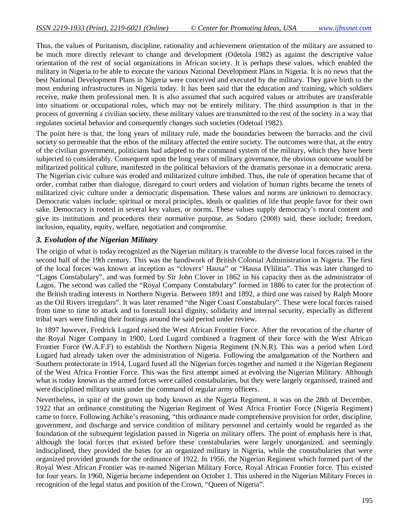Thus, the values of Puritanism, discipline, rationality and achievement orientation of the military are assumed to be much more directly relevant to change and development (Odetola 1982) as against the descriptive value orientation of the rest of social organizations in African society. It is perhaps these values, which enabled the military in Nigeria to be able to execute the various National Development Plans in Nigeria. It is no news that the best National Development Plans in Nigeria were conceived and executed by the military. They gave birth to the most enduring infrastructures in Nigeria today. It has been said that the education and training, which soldiers receive, make them professional men. It is also assumed that such acquired values or attributes are transferable into situations or occupational roles, which may not be entirely military. The third assumption is that in the process of governing a civilian society, these military values are transmitted to the rest of the society in a way that regulates societal behavior and consequently changes such societies (Odetoal 1982).

The point here is that, the long years of military rule, made the boundaries between the barracks and the civil society so permeable that the ethos of the military affected the entire society. The outcomes were that, at the entry of the civilian government, politicians had adapted to the command system of the military, which they have been subjected to considerably. Consequent upon the long years of military governance, the obvious outcome would be militarized political culture, manifested in the political behaviors of the dramatis personae in a democratic arena. The Nigerian civic culture was eroded and militarized culture imbibed. Thus, the rule of operation became that of order, combat rather than dialogue, disregard to court orders and violation of human rights became the tenets of militarized civic culture under a democratic dispensation. These values and norms are unknown to democracy. Democratic values include; spiritual or moral principles, ideals or qualities of life that people favor for their own sake. Democracy is rooted in several key values, or norms. These values supply democracy's moral content and give its institutions and procedures their normative purpose, as Sodaro (2008) said, these include; freedom, inclusion, equality, equity, welfare, negotiation and compromise.

#### *3. Evolution of the Nigerian Military*

The origin of what is today recognized as the Nigerian military is traceable to the diverse local forces raised in the second half of the 19th century. This was the handiwork of British Colonial Administration in Nigeria. The first of the local forces was known at inception as "clovers' Hausa" or "Hausa IVlilitia". This was later changed to "Lagos Constabulary", and was formed by Sir John Clover in 1862 in his capacity then as the administrator of Lagos. The second was called the "Royal Company Constabulary" formed in 1886 to cater for the protection of the British trading interests in Northern Nigeria. Between 1891 and 1892, a third one was raised by Ralph Moore as the Oil Rivers irregulars". It was later renamed "the Niger Coast Constabulary". These were local forces raised from time to time to attack and to forestall local dignity, solidarity and internal security, especially as different tribal wars were finding their footings around the said period under review.

In 1897 however, Fredrick Lugard raised the West African Frontier Force. After the revocation of the charter of the Royal Niger Company in 1900, Lord Lugard combined a fragment of their force with the West African Frontier Force (W.A.F.F) to establish the Northern Nigeria Regiment (N.N.R). This was a period when Lord Lugard had already taken over the administration of Nigeria. Following the amalgamation of the Northern and Southern protectorate in 1914, Lugard fused all the Nigerian forces together and named it the Nigerian Regiment of the West Africa Frontier Force. This was the first attempt aimed at evolving the Nigerian Military. Although what is today known as the armed forces were called constabularies, but they were largely organissed, trained and were disciplined military units under the command of regular army officers.

Nevertheless, in spite of the grown up body known as the Nigeria Regiment, it was on the 28th of December, 1922 that an ordinance constituting the Nigerian Regiment of West Africa Frontier Force (Nigeria Regiment) came to force. Following Achike's reasoning, "this ordinance made comprehensive provision for order, discipline, government, and discharge and service condition of military personnel and certainly would be regarded as the foundation of the subsequent legislation passed in Nigeria on military offers. The point of emphasis here is that, although the local forces that existed before these constabularies were largely unorganized, and seemingly indisciplined, they provided the bases for an organized military in Nigeria, while the constabularies that were organized provided grounds for the ordinance of 1922. In 1956, the Nigerian Regiment which formed part of the Royal West African Frontier was re-named Nigerian Military Force, Royal African Frontier force. This existed for four years. In 1960, Nigeria became independent on October 1. This ushered in the Nigerian Military Forces in recognition of the legal status and position of the Crown, "Queen of Nigeria".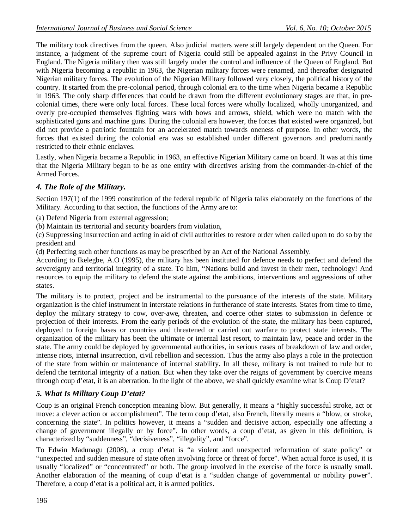The military took directives from the queen. Also judicial matters were still largely dependent on the Queen. For instance, a judgment of the supreme court of Nigeria could still be appealed against in the Privy Council in England. The Nigeria military then was still largely under the control and influence of the Queen of England. But with Nigeria becoming a republic in 1963, the Nigerian military forces were renamed, and thereafter designated Nigerian military forces. The evolution of the Nigerian Military followed very closely, the political history of the country. It started from the pre-colonial period, through colonial era to the time when Nigeria became a Republic in 1963. The only sharp differences that could be drawn from the different evolutionary stages are that, in precolonial times, there were only local forces. These local forces were wholly localized, wholly unorganized, and overly pre-occupied themselves fighting wars with bows and arrows, shield, which were no match with the sophisticated guns and machine guns. During the colonial era however, the forces that existed were organized, but did not provide a patriotic fountain for an accelerated match towards oneness of purpose. In other words, the forces that existed during the colonial era was so established under different governors and predominantly restricted to their ethnic enclaves.

Lastly, when Nigeria became a Republic in 1963, an effective Nigerian Military came on board. It was at this time that the Nigeria Military began to be as one entity with directives arising from the commander-in-chief of the Armed Forces.

# *4. The Role of the Military.*

Section 197(1) of the 1999 constitution of the federal republic of Nigeria talks elaborately on the functions of the Military. According to that section, the functions of the Army are to:

(a) Defend Nigeria from external aggression;

(b) Maintain its territorial and security boarders from violation,

(c) Suppressing insurrection and acting in aid of civil authorities to restore order when called upon to do so by the president and

(d) Perfecting such other functions as may be prescribed by an Act of the National Assembly.

According to Ikelegbe, A.O (1995), the military has been instituted for defence needs to perfect and defend the sovereignty and territorial integrity of a state. To him, "Nations build and invest in their men, technology! And resources to equip the military to defend the state against the ambitions, interventions and aggressions of other states.

The military is to protect, project and be instrumental to the pursuance of the interests of the state. Military organization is the chief instrument in interstate relations in furtherance of state interests. States from time to time, deploy the military strategy to cow, over-awe, threaten, and coerce other states to submission in defence or projection of their interests. From the early periods of the evolution of the state, the military has been captured, deployed to foreign bases or countries and threatened or carried out warfare to protect state interests. The organization of the military has been the ultimate or internal last resort, to maintain law, peace and order in the state. The army could be deployed by governmental authorities, in serious cases of breakdown of law and order, intense riots, internal insurrection, civil rebellion and secession. Thus the army also plays a role in the protection of the state from within or maintenance of internal stability. In all these, military is not trained to rule but to defend the territorial integrity of a nation. But when they take over the reigns of government by coercive means through coup d'etat, it is an aberration. In the light of the above, we shall quickly examine what is Coup D'etat?

# *5. What Is Military Coup D'etat?*

Coup is an original French conception meaning blow. But generally, it means a "highly successful stroke, act or move: a clever action or accomplishment". The term coup d'etat, also French, literally means a "blow, or stroke, concerning the state". In politics however, it means a "sudden and decisive action, especially one affecting a change of government illegally or by force". In other words, a coup d'etat, as given in this definition, is characterized by "suddenness", "decisiveness", "illegality", and "force".

To Edwin Madunagu (2008), a coup d'etat is "a violent and unexpected reformation of state policy" or "unexpected and sudden measure of state often involving force or threat of force". When actual force is used, it is usually "localized" or "concentrated" or both. The group involved in the exercise of the force is usually small. Another elaboration of the meaning of coup d'etat is a "sudden change of governmental or nobility power". Therefore, a coup d'etat is a political act, it is armed politics.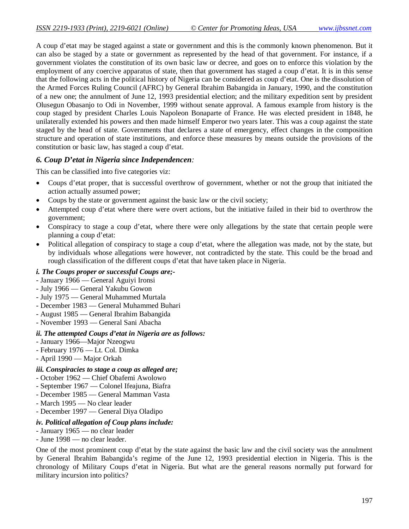A coup d'etat may be staged against a state or government and this is the commonly known phenomenon. But it can also be staged by a state or government as represented by the head of that government. For instance, if a government violates the constitution of its own basic law or decree, and goes on to enforce this violation by the employment of any coercive apparatus of state, then that government has staged a coup d'etat. It is in this sense that the following acts in the political history of Nigeria can be considered as coup d'etat. One is the dissolution of the Armed Forces Ruling Council (AFRC) by General Ibrahim Babangida in January, 1990, and the constitution of a new one; the annulment of June 12, 1993 presidential election; and the military expedition sent by president Olusegun Obasanjo to Odi in November, 1999 without senate approval. A famous example from history is the coup staged by president Charles Louis Napoleon Bonaparte of France. He was elected president in 1848, he unilaterally extended his powers and then made himself Emperor two years later. This was a coup against the state staged by the head of state. Governments that declares a state of emergency, effect changes in the composition structure and operation of state institutions, and enforce these measures by means outside the provisions of the constitution or basic law, has staged a coup d'etat.

#### *6. Coup D'etat in Nigeria since Independencen:*

This can be classified into five categories viz:

- Coups d'etat proper, that is successful overthrow of government, whether or not the group that initiated the action actually assumed power;
- Coups by the state or government against the basic law or the civil society;
- Attempted coup d'etat where there were overt actions, but the initiative failed in their bid to overthrow the government;
- Conspiracy to stage a coup d'etat, where there were only allegations by the state that certain people were planning a coup d'etat:
- Political allegation of conspiracy to stage a coup d'etat, where the allegation was made, not by the state, but by individuals whose allegations were however, not contradicted by the state. This could be the broad and rough classification of the different coups d'etat that have taken place in Nigeria.

#### *i. The Coups proper or successful Coups are;-*

- January 1966 General Aguiyi Ironsi
- July 1966 General Yakubu Gowon
- July 1975 General Muhammed Murtala
- December 1983 General Muhammed Buhari
- August 1985 General Ibrahim Babangida
- November 1993 General Sani Abacha

#### *ii. The attempted Coups d'etat in Nigeria are as follows:*

- January 1966—Major Nzeogwu
- February 1976 Lt. Col. Dimka
- April 1990 Major Orkah

#### *iii. Conspiracies to stage a coup as alleged are;*

- October 1962 Chief Obafemi Awolowo
- September 1967 Colonel Ifeajuna, Biafra
- December 1985 General Mamman Vasta
- March 1995 No clear leader
- December 1997 General Diya Oladipo

#### *iv. Political allegation of Coup plans include:*

- January 1965 no clear leader
- June 1998 no clear leader.

One of the most prominent coup d'etat by the state against the basic law and the civil society was the annulment by General Ibrahim Babangida's regime of the June 12, 1993 presidential election in Nigeria. This is the chronology of Military Coups d'etat in Nigeria. But what are the general reasons normally put forward for military incursion into politics?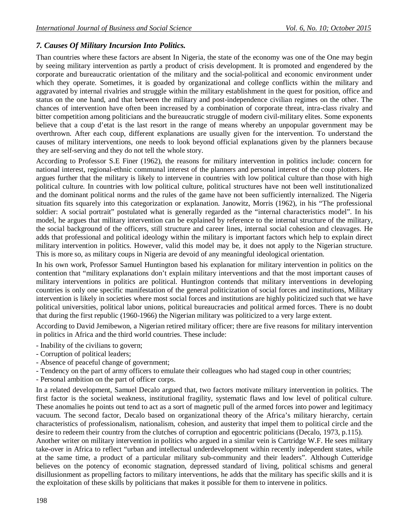# *7. Causes Of Military Incursion Into Politics.*

Than countries where these factors are absent In Nigeria, the state of the economy was one of the One may begin by seeing military intervention as partly a product of crisis development. It is promoted and engendered by the corporate and bureaucratic orientation of the military and the social-political and economic environment under which they operate. Sometimes, it is goaded by organizational and college conflicts within the military and aggravated by internal rivalries and struggle within the military establishment in the quest for position, office and status on the one hand, and that between the military and post-independence civilian regimes on the other. The chances of intervention have often been increased by a combination of corporate threat, intra-class rivalry and bitter competition among politicians and the bureaucratic struggle of modern civil-military elites. Some exponents believe that a coup d'etat is the last resort in the range of means whereby an unpopular government may be overthrown. After each coup, different explanations are usually given for the intervention. To understand the causes of military interventions, one needs to look beyond official explanations given by the planners because they are self-serving and they do not tell the whole story.

According to Professor S.E Finer (1962), the reasons for military intervention in politics include: concern for national interest, regional-ethnic communal interest of the planners and personal interest of the coup plotters. He argues further that the military is likely to intervene in countries with low political culture than those with high political culture. In countries with low political culture, political structures have not been well institutionalized and the dominant political norms and the rules of the game have not been sufficiently internalized. The Nigeria situation fits squarely into this categorization or explanation. Janowitz, Morris (1962), in his "The professional soldier: A social portrait" postulated what is generally regarded as the "internal characteristics model". In his model, he argues that military intervention can be explained by reference to the internal structure of the military, the social background of the officers, still structure and career lines, internal social cohesion and cleavages. He adds that professional and political ideology within the military is important factors which help to explain direct military intervention in politics. However, valid this model may be, it does not apply to the Nigerian structure. This is more so, as military coups in Nigeria are devoid of any meaningful ideological orientation.

In his own work, Professor Samuel Huntington based his explanation for military intervention in politics on the contention that "military explanations don't explain military interventions and that the most important causes of military interventions in politics are political. Huntington contends that military interventions in developing countries is only one specific manifestation of the general politicization of social forces and institutions, Military intervention is likely in societies where most social forces and institutions are highly politicized such that we have political universities, political labor unions, political bureaucracies and political armed forces. There is no doubt that during the first republic (1960-1966) the Nigerian military was politicized to a very large extent.

According to David Jemibewon, a Nigerian retired military officer; there are five reasons for military intervention in politics in Africa and the third world countries. These include:

- Inability of the civilians to govern;
- Corruption of political leaders;
- Absence of peaceful change of government;
- Tendency on the part of army officers to emulate their colleagues who had staged coup in other countries;
- Personal ambition on the part of officer corps.

In a related development, Samuel Decalo argued that, two factors motivate military intervention in politics. The first factor is the societal weakness, institutional fragility, systematic flaws and low level of political culture. These anomalies he points out tend to act as a sort of magnetic pull of the armed forces into power and legitimacy vacuum. The second factor, Decalo based on organizational theory of the Africa's military hierarchy, certain characteristics of professionalism, nationalism, cohesion, and austerity that impel them to political circle and the desire to redeem their country from the clutches of corruption and egocentric politicians (Decalo, 1973, p.115).

Another writer on military intervention in politics who argued in a similar vein is Cartridge W.F. He sees military take-over in Africa to reflect "urban and intellectual underdevelopment within recently independent states, while at the same time, a product of a particular military sub-community and their leaders". Although Cutteridge believes on the potency of economic stagnation, depressed standard of living, political schisms and general disillusionment as propelling factors to military interventions, he adds that the military has specific skills and it is the exploitation of these skills by politicians that makes it possible for them to intervene in politics.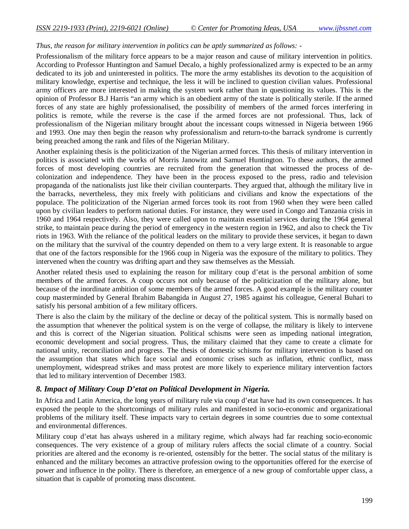### *Thus, the reason for military intervention in politics can be aptly summarized as follows: -*

Professionalism of the military force appears to be a major reason and cause of military intervention in politics. According to Professor Huntington and Samuel Decalo, a highly professionalized army is expected to be an army dedicated to its job and uninterested in politics. The more the army establishes its devotion to the acquisition of military knowledge, expertise and technique, the less it will be inclined to question civilian values. Professional army officers are more interested in making the system work rather than in questioning its values. This is the opinion of Professor B.J Harris "an army which is an obedient army of the state is politically sterile. If the armed forces of any state are highly professionalised, the possibility of members of the armed forces interfering in politics is remote, while the reverse is the case if the armed forces are not professional. Thus, lack of professionalism of the Nigerian military brought about the incessant coups witnessed in Nigeria between 1966 and 1993. One may then begin the reason why professionalism and return-to-the barrack syndrome is currently being preached among the rank and files of the Nigerian Military.

Another explaining thesis is the politicization of the Nigerian armed forces. This thesis of military intervention in politics is associated with the works of Morris Janowitz and Samuel Huntington. To these authors, the armed forces of most developing countries are recruited from the generation that witnessed the process of decolonization and independence. They have been in the process exposed to the press, radio and television propaganda of the nationalists just like their civilian counterparts. They argued that, although the military live in the barracks, nevertheless, they mix freely with politicians and civilians and know the expectations of the populace. The politicization of the Nigerian armed forces took its root from 1960 when they were been called upon by civilian leaders to perform national duties. For instance, they were used in Congo and Tanzania crisis in 1960 and 1964 respectively. Also, they were called upon to maintain essential services during the 1964 general strike, to maintain peace during the period of emergency in the western region in 1962, and also to check the Tiv riots in 1963. With the reliance of the political leaders on the military to provide these services, it began to dawn on the military that the survival of the country depended on them to a very large extent. It is reasonable to argue that one of the factors responsible for the 1966 coup in Nigeria was the exposure of the military to politics. They intervened when the country was drifting apart and they saw themselves as the Messiah.

Another related thesis used to explaining the reason for military coup d'etat is the personal ambition of some members of the armed forces. A coup occurs not only because of the politicization of the military alone, but because of the inordinate ambition of some members of the armed forces. A good example is the military counter coup masterminded by General Ibrahim Babangida in August 27, 1985 against his colleague, General Buhari to satisfy his personal ambition of a few military officers.

There is also the claim by the military of the decline or decay of the political system. This is normally based on the assumption that whenever the political system is on the verge of collapse, the military is likely to intervene and this is correct of the Nigerian situation. Political schisms were seen as impeding national integration, economic development and social progress. Thus, the military claimed that they came to create a climate for national unity, reconciliation and progress. The thesis of domestic schisms for military intervention is based on the assumption that states which face social and economic crises such as inflation, ethnic conflict, mass unemployment, widespread strikes and mass protest are more likely to experience military intervention factors that led to military intervention of December 1983.

## *8. Impact of Military Coup D'etat on Political Development in Nigeria.*

In Africa and Latin America, the long years of military rule via coup d'etat have had its own consequences. It has exposed the people to the shortcomings of military rules and manifested in socio-economic and organizational problems of the military itself. These impacts vary to certain degrees in some countries due to some contextual and environmental differences.

Military coup d'etat has always ushered in a military regime, which always had far reaching socio-economic consequences. The very existence of a group of military rulers affects the social climate of a country. Social priorities are altered and the economy is re-oriented, ostensibly for the better. The social status of the military is enhanced and the military becomes an attractive profession owing to the opportunities offered for the exercise of power and influence in the polity. There is therefore, an emergence of a new group of comfortable upper class, a situation that is capable of promoting mass discontent.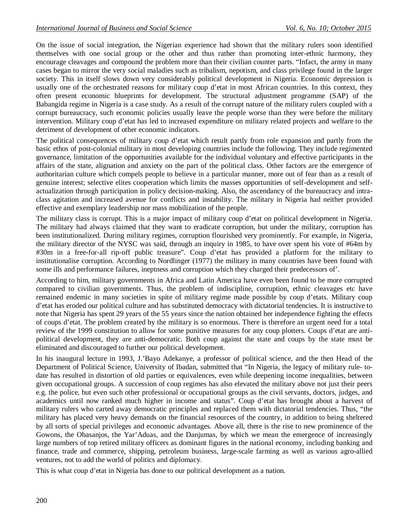On the issue of social integration, the Nigerian experience had shown that the military rulers soon identified themselves with one social group or the other and thus rather than promoting inter-ethnic harmony, they encourage cleavages and compound the problem more than their civilian counter parts. "Infact, the army in many cases began to mirror the very social maladies such as tribalism, nepotism, and class privilege found in the larger society. This in itself slows down very considerably political development in Nigeria. Economic depression is usually one of the orchestrated reasons for military coup d'etat in most African countries. In this context, they often present economic blueprints for development. The structural adjustment programme (SAP) of the Babangida regime in Nigeria is a case study. As a result of the corrupt nature of the military rulers coupled with a corrupt bureaucracy, such economic policies usually leave the people worse than they were before the military intervention. Military coup d'etat has led to increased expenditure on military related projects and welfare to the detriment of development of other economic indicators.

The political consequences of military coup d'etat which result partly from role expansion and partly from the basic ethos of post-colonial military in most developing countries include the following. They include regimented governance, limitation of the opportunities available for the individual voluntary and effective participants in the affairs of the state, alignation and anxiety on the part of the political class. Other factors are the emergence of authoritarian culture which compels people to believe in a particular manner, more out of fear than as a result of genuine interest; selective elites cooperation which limits the masses opportunities of self-development and selfactualization through participation in policy decision-making. Also, the ascendancy of the bureaucracy and intraclass agitation and increased avenue for conflicts and instability. The military in Nigeria had neither provided effective and exemplary leadership nor mass mobilization of the people.

The military class is corrupt. This is a major impact of military coup d'etat on political development in Nigeria. The military had always claimed that they want to eradicate corruption, but under the military, corruption has been institutionalized. During military regimes, corruption flourished very prominently. For example, in Nigeria, the military director of the NYSC was said, through an inquiry in 1985, to have over spent his vote of #64m by #30m in a free-for-all rip-off public treasure". Coup d'etat has provided a platform for the military to institutionalise corruption. According to Nordlinger (1977) the military in many countries have been found with some ills and performance failures, ineptness and corruption which they charged their predecessors of'.

According to him, military governments in Africa and Latin America have even been found to be more corrupted compared to civilian governments. Thus, the problem of indiscipline, corruption, ethnic cleavages etc have remained endemic in many societies in spite of military regime made possible by coup d'etats. Military coup d'etat has eroded our political culture and has substituted democracy with dictatorial tendencies. It is instructive to note that Nigeria has spent 29 years of the 55 years since the nation obtained her independence fighting the effects of coups d'etat. The problem created by the military is so enormous. There is therefore an urgent need for a total review of the 1999 constitution to allow for some punitive measures for any coup plotters. Coups d'etat are antipolitical development, they are anti-democratic. Both coup against the state and coups by the state must be eliminated and discouraged to further our political development.

In his inaugural lecture in 1993, J.'Bayo Adekanye, a professor of political science, and the then Head of the Department of Political Science, University of Ibadan, submitted that "In Nigeria, the legacy of military rule- todate has resulted in distortion of old parties or equivalences, even while deepening income inequalities, between given occupational groups. A succession of coup regimes has also elevated the military above not just their peers e.g. the police, but even such other professional or occupational groups as the civil servants, doctors, judges, and academics until now ranked much higher in income and status". Coup d'etat has brought about a harvest of military rulers who carted away democratic principles and replaced them with dictatorial tendencies. Thus, "the military has placed very heavy demands on the financial resources of the country, in addition to being sheltered by all sorts of special privileges and economic advantages. Above all, there is the rise to new prominence of the Gowons, the Obasanjos, the Yar'Aduas, and the Danjumas, by which we mean the emergence of increasingly large numbers of top retired military officers as dominant figures in the national economy, including banking and finance, trade and commerce, shipping, petroleum business, large-scale farming as well as various agro-allied ventures, not to add the world of politics and diplomacy.

This is what coup d'etat in Nigeria has done to our political development as a nation.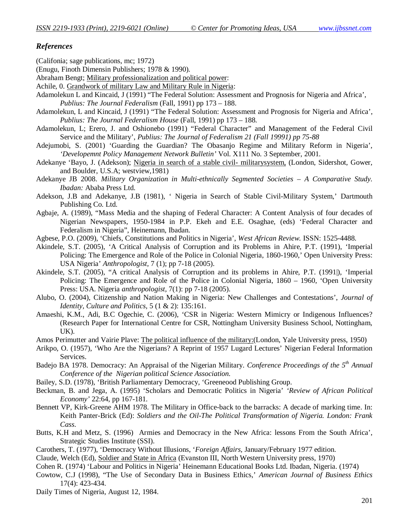### *References*

(Califonia; sage publications, mc; 1972)

- (Enugu, Finoth Dimensin Publishers; 1978 & 1990).
- Abraham Bengt; Military professionalization and political power:
- Achile, 0. Grandwork of military Law and Military Rule in Nigeria:
- Adamolekun L and Kincaid, J (1991) "The Federal Solution: Assessment and Prognosis for Nigeria and Africa', *Publius: The Journal Federalism* (Fall, 1991) pp 173 – 188.
- Adamolekun, L and Kincaid, J (1991) "The Federal Solution: Assessment and Prognosis for Nigeria and Africa', *Publius: The Journal Federalism House* (Fall, 1991) pp 173 – 188.
- Adamolekun, L; Erero, J. and Oshionebo (1991) "Federal Character" and Management of the Federal Civil Service and the Military', *Publius: The Journal of Federalism 21 (Fall 19991) pp 75-88*
- Adejumobi, S. (2001) 'Guarding the Guardian? The Obasanjo Regime and Military Reform in Nigeria', *'Developemnt Policy Management Network Bulletin'* Vol. X111 No. 3 September, 2001.
- Adekanye 'Bayo, J. (Adekson); Nigeria in search of a stable civil- militarysystem, (London, Sidershot, Gower, and Boulder, U.S.A; westview,1981)

Adekanye JB 2008. *Military Organization in Multi-ethnically Segmented Societies – A Comparative Study. Ibadan:* Ababa Press Ltd.

- Adekson, J.B and Adekanye, J.B (1981), ' Nigeria in Search of Stable Civil-Military System,' Dartmouth Publishing Co. Ltd.
- Agbaje, A. (1989), "Mass Media and the shaping of Federal Character: A Content Analysis of four decades of Nigerian Newspapers, 1950-1984 in P.P. Ekeh and E.E. Osaghae, (eds) 'Federal Character and Federalism in Nigeria", Heinemann, Ibadan.
- Agbese, P.O. (2009), 'Chiefs, Constitutions and Politics in Nigeria', *West African Review.* ISSN: 1525-4488.
- Akindele, S.T. (2005), 'A Critical Analysis of Corruption and its Problems in Ahire, P.T. (1991), 'Imperial Policing: The Emergence and Role of the Police in Colonial Nigeria, 1860-1960,' Open University Press: USA Nigeria' *Anthropologist,* 7 (1); pp 7-18 (2005).
- Akindele, S.T. (2005), "A critical Analysis of Corruption and its problems in Ahire, P.T. (1991|), 'Imperial Policing: The Emergence and Role of the Police in Colonial Nigeria, 1860 – 1960, 'Open University Press: USA. Nigeria *anthropologist,* 7(1): pp 7-18 (2005).
- Alubo, O. (2004), Citizenship and Nation Making in Nigeria: New Challenges and Contestations', *Journal of Identity, Culture and Politics,* 5 (1 & 2): 135:161.
- Amaeshi, K.M., Adi, B.C Ogechie, C. (2006), 'CSR in Nigeria: Western Mimicry or Indigenous Influences? (Research Paper for International Centre for CSR, Nottingham University Business School, Nottingham, UK).
- Amos Perimutter and Vairie Plave: The political influence of the military:(London, Yale University press, 1950)
- Arikpo, O. (1957), 'Who Are the Nigerians? A Reprint of 1957 Lugard Lectures' Nigerian Federal Information Services.
- Badejo BA 1978. Democracy: An Appraisal of the Nigerian Military. *Conference Proceedings of the 5th Annual Conference of the Nigerian political Science Association.*
- Bailey, S.D. (1978), 'British Parliamentary Democracy, 'Greeneood Publishing Group.
- Beckman, B. and Jega, A. (1995) 'Scholars and Democratic Politics in Nigeria' *'Review of African Political Economy'* 22:64, pp 167-181.
- Bennett VP, Kirk-Greene AHM 1978. The Military in Office-back to the barracks: A decade of marking time. In: Keith Panter-Brick (Ed): *Soldiers and the Oil-The Political Transformation of Nigeria. London: Frank Cass.*
- Butts, K.H and Metz, S. (1996) Armies and Democracy in the New Africa: lessons From the South Africa', Strategic Studies Institute (SSI).
- Carothers, T. (1977), 'Democracy Without Illusions, '*Foreign Affairs,* January/February 1977 edition.
- Claude, Welch (Ed), Soldier and State in Africa (Evanston III, North Western University press, 1970)
- Cohen R. (1974) 'Labour and Politics in Nigeria' Heinemann Educational Books Ltd. Ibadan, Nigeria. (1974)
- Cowtow, C.J (1998), "The Use of Secondary Data in Business Ethics,' *American Journal of Business Ethics*  17(4): 423-434.

Daily Times of Nigeria, August 12, 1984.